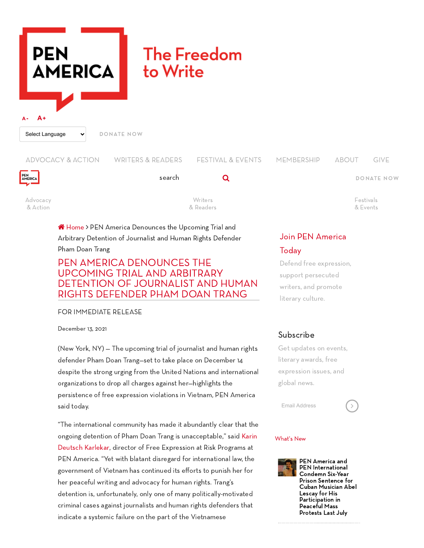# **PEN The Freedom AMERICA** to Write **A- A+** Select Language  $\vert \cdot \vert$  [DONATE](https://pen.org/donate/) NOW



[Advocacy](https://pen.org/news-analysis/) & Action

ADVOCACY & ACTION WRITERS & READERS FESTIVAL & EVENTS MEMBERSHIP ABOUT [GIVE](https://pen.org/give/)

search **Q** 

Writers & [Readers](https://pen.org/publications/)

[DONATE](https://pen.org/donate/) NOW

[Festivals](https://pen.org/events-calendar/) & Events

# Join PEN [America](https://pen.org/membership) **Today**

Defend free expression, support persecuted writers, and promote literary culture.

# Subscribe

Get updates on events, literary awards, free expression issues, and global news.

Email Address



### <span id="page-0-0"></span>[What's](#page-0-0) New



PEN America and PEN [International](https://pen.org/press-release/pen-america-and-pen-international-condemn-six-year-prison-sentence-for-cuban-musician-abel-lescay-for-his-participation-in-peaceful-mass-protests-last-july/) Condemn Six-Year Prison Sentence for Cuban Musician Abel Lescay for His Participation in Peaceful Mass Protests Last July

**A** [Home](https://pen.org/) > PEN America Denounces the Upcoming Trial and Arbitrary Detention of Journalist and Human Rights Defender Pham Doan Trang

# PEN AMERICA DENOUNCES THE UPCOMING TRIAL AND ARBITRARY DETENTION OF JOURNALIST AND HUMAN RIGHTS DEFENDER PHAM DOAN TRANG

FOR IMMEDIATE RELEASE

December 13, 2021

(New York, NY) — The upcoming trial of journalist and human rights defender Pham Doan Trang—set to take place on December 14 despite the strong urging from the United Nations and international organizations to drop all charges against her—highlights the persistence of free expression violations in Vietnam, PEN America said today.

"The international community has made it abundantly clear that the ongoing detention of Pham Doan Trang is [unacceptable,"](https://pen.org/user/karin-karlekar/) said Karin Deutsch Karlekar, director of Free Expression at Risk Programs at PEN America. "Yet with blatant disregard for international law, the government of Vietnam has continued its efforts to punish her for her peaceful writing and advocacy for human rights. Trang's detention is, unfortunately, only one of many politically-motivated criminal cases against journalists and human rights defenders that indicate a systemic failure on the part of the Vietnamese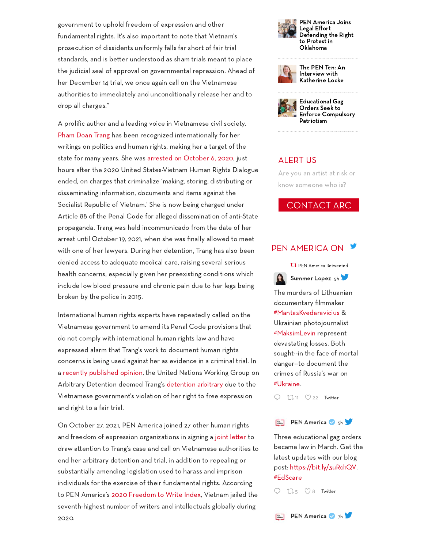government to uphold freedom of expression and other fundamental rights. It's also important to note that Vietnam's prosecution of dissidents uniformly falls far short of fair trial standards, and is better understood as sham trials meant to place the judicial seal of approval on governmental repression. Ahead of her December 14 trial, we once again call on the Vietnamese authorities to immediately and unconditionally release her and to drop all charges."

A prolific author and a leading voice in Vietnamese civil society, [Pham](https://pen.org/report/freedom-to-write-index-2020/?popup=pham-doan-trang#sidebar-pham-doan-trang) Doan Trang has been recognized internationally for her writings on politics and human rights, making her a target of the state for many years. She was [arrested on](https://pen.org/press-release/arrest-of-vietnamese-writer-is-escalation-in-attempts-to-quash-independent-political-thought/) October 6, 2020, just hours after the 2020 United States-Vietnam Human Rights Dialogue ended, on charges that criminalize 'making, storing, distributing or disseminating information, documents and items against the Socialist Republic of Vietnam.' She is now being charged under Article 88 of the Penal Code for alleged dissemination of anti-State propaganda. Trang was held incommunicado from the date of her arrest until October 19, 2021, when she was finally allowed to meet with one of her lawyers. During her detention, Trang has also been denied access to adequate medical care, raising several serious health concerns, especially given her preexisting conditions which include low blood pressure and chronic pain due to her legs being broken by the police in 2015.

International human rights experts have repeatedly called on the Vietnamese government to amend its Penal Code provisions that do not comply with international human rights law and have expressed alarm that Trang's work to document human rights concerns is being used against her as evidence in a criminal trial. In a recently [published opinion](https://www.ohchr.org/Documents/Issues/Detention/Opinions/Session91/A_HRC_WGAD_2021_40_AdvanceEditedVersion.pdf), the United Nations Working Group on Arbitrary Detention deemed Trang's [detention](https://www.voanews.com/a/vietnam-violated-journalist-s-rights-un-says/6288302.html) arbitrary due to the Vietnamese government's violation of her right to free expression and right to a fair trial.

On October 27, 2021, PEN America joined 27 other human rights and freedom of expression organizations in signing a joint letter to draw attention to Trang's case and call on Vietnamese authorities to end her arbitrary detention and trial, in addition to repealing or substantially amending legislation used to harass and imprison individuals for the exercise of their fundamental rights. According to PEN America's 2020 [Freedom](https://pen.org/report/freedom-to-write-index-2020/) to Write Index, Vietnam jailed the seventh-highest number of writers and intellectuals globally during 2020.





The PEN Ten: An Interview with [Katherine](https://pen.org/the-pen-ten-an-interview-with-katherine-locke/) Locke



## ALERT US

Are you an artist at risk or know someone who is?

### **CONTACT ARC**

### PEN [AMERICA](https://twitter.com/PENamerica) ON 5



The murders of Lithuanian documentary filmmaker [#MantasKvedaravicius](https://twitter.com/hashtag/MantasKvedaravicius) & Ukrainian photojournalist [#MaksimLevin](https://twitter.com/hashtag/MaksimLevin) represent devastating losses. Both sought--in the face of mortal danger--to document the crimes of Russia's war on [#Ukraine.](https://twitter.com/hashtag/Ukraine)

 $11 \text{ } \heartsuit$  $11 \text{ } \heartsuit$  [22](https://twitter.com/intent/like?tweet_id=1510724874427322369&related=summerelopez) Twitter O

#### PEN [America](https://twitter.com/PENamerica) 6 [5h](https://twitter.com/PENamerica/status/1510723335642038272) **PEN**<br>AMERICA

Three educational gag orders became law in March. Get the latest updates with our blog post: https://bit.ly/3uRd1QV. [#EdScare](https://twitter.com/hashtag/EdScare)

 $Q$   $\mathbb{U}_5$  $\mathbb{U}_5$   $\heartsuit$  [8](https://twitter.com/intent/like?tweet_id=1510723335642038272&related=PENamerica) Twitter